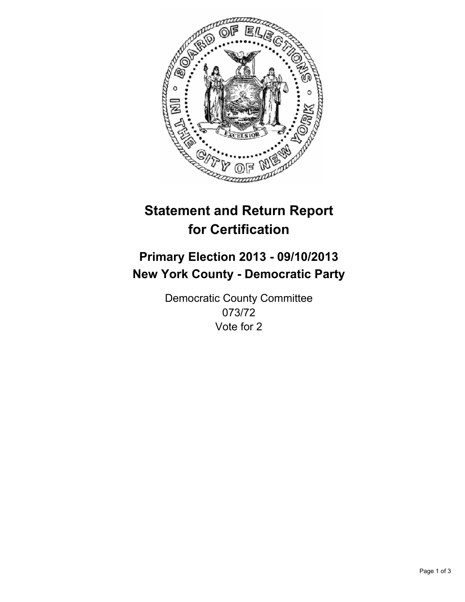

# **Statement and Return Report for Certification**

# **Primary Election 2013 - 09/10/2013 New York County - Democratic Party**

Democratic County Committee 073/72 Vote for 2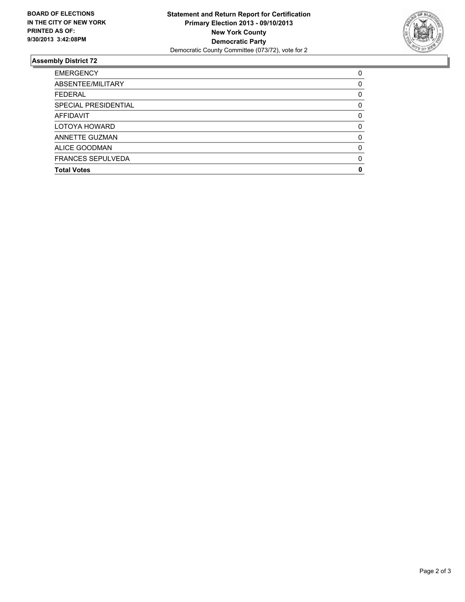

## **Assembly District 72**

| <b>EMERGENCY</b>         | 0        |
|--------------------------|----------|
| ABSENTEE/MILITARY        | 0        |
| <b>FEDERAL</b>           | 0        |
| SPECIAL PRESIDENTIAL     | 0        |
| <b>AFFIDAVIT</b>         | $\Omega$ |
| LOTOYA HOWARD            | 0        |
| ANNETTE GUZMAN           | $\Omega$ |
| ALICE GOODMAN            | $\Omega$ |
| <b>FRANCES SEPULVEDA</b> | 0        |
| <b>Total Votes</b>       | O        |
|                          |          |